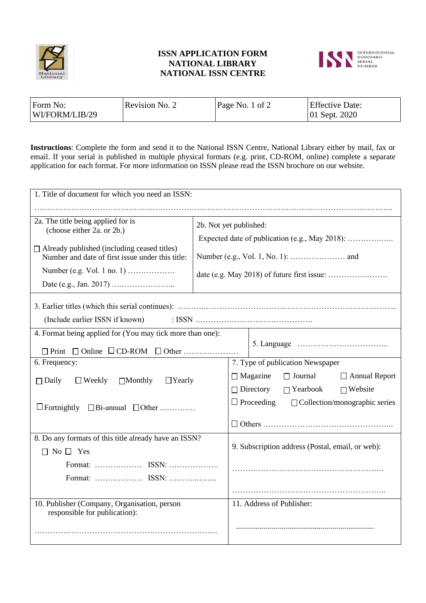

## **ISSN APPLICATION FORM NATIONAL LIBRARY NATIONAL ISSN CENTRE**



| Form No:       | Revision No. 2 | Page No. 1 of 2 | <b>Effective Date:</b> |
|----------------|----------------|-----------------|------------------------|
| WI/FORM/LIB/29 |                |                 | $ 01$ Sept. 2020       |

**Instructions**: Complete the form and send it to the National ISSN Centre, National Library either by mail, fax or email. If your serial is published in multiple physical formats (e.g. print, CD-ROM, online) complete a separate application for each format. For more information on ISSN please read the ISSN brochure on our website.

| 1. Title of document for which you need an ISSN:                                                       |                        |                                                           |  |  |
|--------------------------------------------------------------------------------------------------------|------------------------|-----------------------------------------------------------|--|--|
|                                                                                                        |                        |                                                           |  |  |
| 2a. The title being applied for is<br>(choose either 2a. or 2b.)                                       | 2b. Not yet published: |                                                           |  |  |
|                                                                                                        |                        | Expected date of publication (e.g., May 2018):            |  |  |
| $\Box$ Already published (including ceased titles)<br>Number and date of first issue under this title: |                        |                                                           |  |  |
| Number (e.g. Vol. 1 no. 1)                                                                             |                        |                                                           |  |  |
|                                                                                                        |                        |                                                           |  |  |
|                                                                                                        |                        |                                                           |  |  |
| (Include earlier ISSN if known)                                                                        |                        |                                                           |  |  |
| 4. Format being applied for (You may tick more than one):                                              |                        |                                                           |  |  |
|                                                                                                        |                        |                                                           |  |  |
| 6. Frequency:                                                                                          |                        | 7. Type of publication Newspaper                          |  |  |
| $\Box$ Weekly<br>$\Box$ Monthly<br>$\Box$ Yearly<br>$\Box$ Daily                                       |                        | $\Box$ Magazine<br>$\Box$ Journal<br>$\Box$ Annual Report |  |  |
|                                                                                                        |                        | $\Box$ Directory<br>$\Box$ Yearbook<br>$\Box$ Website     |  |  |
| $\Box$ Fortnightly $\Box$ Bi-annual $\Box$ Other                                                       |                        | $\Box$ Proceeding<br>$\Box$ Collection/monographic series |  |  |
|                                                                                                        |                        |                                                           |  |  |
| 8. Do any formats of this title already have an ISSN?                                                  |                        |                                                           |  |  |
| $\Box$ No $\Box$ Yes                                                                                   |                        | 9. Subscription address (Postal, email, or web):          |  |  |
|                                                                                                        |                        |                                                           |  |  |
|                                                                                                        |                        |                                                           |  |  |
|                                                                                                        |                        |                                                           |  |  |
| 10. Publisher (Company, Organisation, person<br>responsible for publication):                          |                        | 11. Address of Publisher:                                 |  |  |
|                                                                                                        |                        |                                                           |  |  |